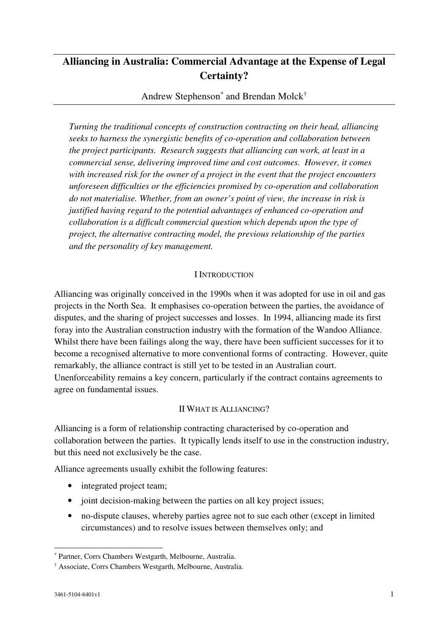# **Alliancing in Australia: Commercial Advantage at the Expense of Legal Certainty?**

Andrew Stephenson\* and Brendan Molck†

*Turning the traditional concepts of construction contracting on their head, alliancing seeks to harness the synergistic benefits of co-operation and collaboration between the project participants. Research suggests that alliancing can work, at least in a commercial sense, delivering improved time and cost outcomes. However, it comes with increased risk for the owner of a project in the event that the project encounters unforeseen difficulties or the efficiencies promised by co-operation and collaboration do not materialise. Whether, from an owner's point of view, the increase in risk is justified having regard to the potential advantages of enhanced co-operation and collaboration is a difficult commercial question which depends upon the type of project, the alternative contracting model, the previous relationship of the parties and the personality of key management.* 

# I INTRODUCTION

Alliancing was originally conceived in the 1990s when it was adopted for use in oil and gas projects in the North Sea. It emphasises co-operation between the parties, the avoidance of disputes, and the sharing of project successes and losses. In 1994, alliancing made its first foray into the Australian construction industry with the formation of the Wandoo Alliance. Whilst there have been failings along the way, there have been sufficient successes for it to become a recognised alternative to more conventional forms of contracting. However, quite remarkably, the alliance contract is still yet to be tested in an Australian court. Unenforceability remains a key concern, particularly if the contract contains agreements to agree on fundamental issues.

# II WHAT IS ALLIANCING?

Alliancing is a form of relationship contracting characterised by co-operation and collaboration between the parties. It typically lends itself to use in the construction industry, but this need not exclusively be the case.

Alliance agreements usually exhibit the following features:

- integrated project team;
- joint decision-making between the parties on all key project issues;
- no-dispute clauses, whereby parties agree not to sue each other (except in limited circumstances) and to resolve issues between themselves only; and

<sup>\*</sup> Partner, Corrs Chambers Westgarth, Melbourne, Australia.

<sup>†</sup> Associate, Corrs Chambers Westgarth, Melbourne, Australia.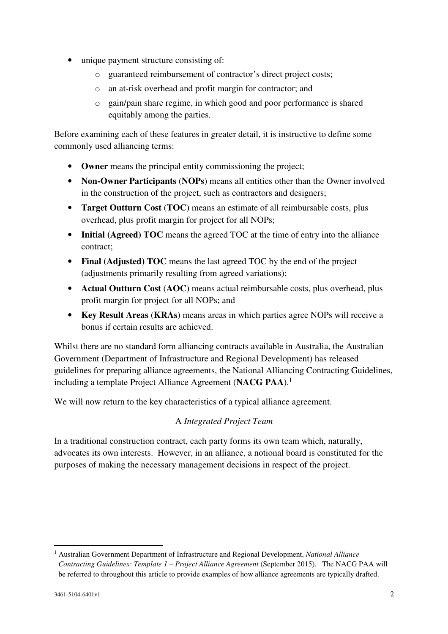- unique payment structure consisting of:
	- o guaranteed reimbursement of contractor's direct project costs;
	- o an at-risk overhead and profit margin for contractor; and
	- o gain/pain share regime, in which good and poor performance is shared equitably among the parties.

Before examining each of these features in greater detail, it is instructive to define some commonly used alliancing terms:

- **Owner** means the principal entity commissioning the project;
- **Non-Owner Participants** (**NOPs**) means all entities other than the Owner involved in the construction of the project, such as contractors and designers;
- **Target Outturn Cost** (**TOC**) means an estimate of all reimbursable costs, plus overhead, plus profit margin for project for all NOPs;
- **Initial (Agreed) TOC** means the agreed TOC at the time of entry into the alliance contract;
- **Final (Adjusted) TOC** means the last agreed TOC by the end of the project (adjustments primarily resulting from agreed variations);
- **Actual Outturn Cost** (**AOC**) means actual reimbursable costs, plus overhead, plus profit margin for project for all NOPs; and
- **Key Result Areas** (**KRAs**) means areas in which parties agree NOPs will receive a bonus if certain results are achieved.

Whilst there are no standard form alliancing contracts available in Australia, the Australian Government (Department of Infrastructure and Regional Development) has released guidelines for preparing alliance agreements, the National Alliancing Contracting Guidelines, including a template Project Alliance Agreement (NACG PAA).<sup>1</sup>

We will now return to the key characteristics of a typical alliance agreement.

# A *Integrated Project Team*

In a traditional construction contract, each party forms its own team which, naturally, advocates its own interests. However, in an alliance, a notional board is constituted for the purposes of making the necessary management decisions in respect of the project.

<sup>&</sup>lt;sup>1</sup> Australian Government Department of Infrastructure and Regional Development, *National Alliance Contracting Guidelines: Template 1 – Project Alliance Agreement* (September 2015). The NACG PAA will be referred to throughout this article to provide examples of how alliance agreements are typically drafted.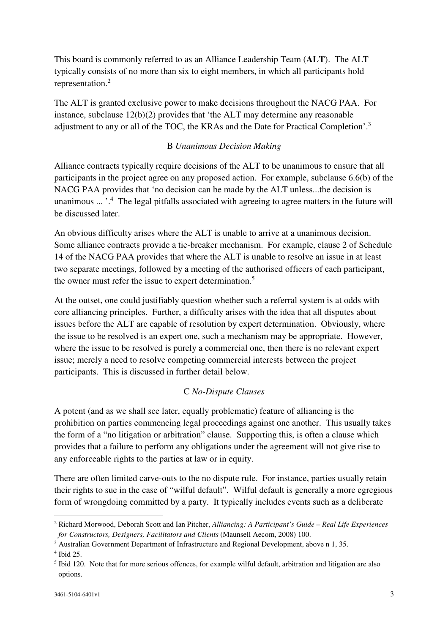This board is commonly referred to as an Alliance Leadership Team (**ALT**). The ALT typically consists of no more than six to eight members, in which all participants hold representation.<sup>2</sup>

The ALT is granted exclusive power to make decisions throughout the NACG PAA. For instance, subclause 12(b)(2) provides that 'the ALT may determine any reasonable adjustment to any or all of the TOC, the KRAs and the Date for Practical Completion'.<sup>3</sup>

# B *Unanimous Decision Making*

Alliance contracts typically require decisions of the ALT to be unanimous to ensure that all participants in the project agree on any proposed action. For example, subclause 6.6(b) of the NACG PAA provides that 'no decision can be made by the ALT unless...the decision is unanimous ... '.<sup>4</sup> The legal pitfalls associated with agreeing to agree matters in the future will be discussed later.

An obvious difficulty arises where the ALT is unable to arrive at a unanimous decision. Some alliance contracts provide a tie-breaker mechanism. For example, clause 2 of Schedule 14 of the NACG PAA provides that where the ALT is unable to resolve an issue in at least two separate meetings, followed by a meeting of the authorised officers of each participant, the owner must refer the issue to expert determination.<sup>5</sup>

At the outset, one could justifiably question whether such a referral system is at odds with core alliancing principles. Further, a difficulty arises with the idea that all disputes about issues before the ALT are capable of resolution by expert determination. Obviously, where the issue to be resolved is an expert one, such a mechanism may be appropriate. However, where the issue to be resolved is purely a commercial one, then there is no relevant expert issue; merely a need to resolve competing commercial interests between the project participants. This is discussed in further detail below.

# C *No-Dispute Clauses*

A potent (and as we shall see later, equally problematic) feature of alliancing is the prohibition on parties commencing legal proceedings against one another. This usually takes the form of a "no litigation or arbitration" clause. Supporting this, is often a clause which provides that a failure to perform any obligations under the agreement will not give rise to any enforceable rights to the parties at law or in equity.

There are often limited carve-outs to the no dispute rule. For instance, parties usually retain their rights to sue in the case of "wilful default". Wilful default is generally a more egregious form of wrongdoing committed by a party. It typically includes events such as a deliberate

<sup>2</sup> Richard Morwood, Deborah Scott and Ian Pitcher, *Alliancing: A Participant's Guide – Real Life Experiences for Constructors, Designers, Facilitators and Clients* (Maunsell Aecom, 2008) 100.

<sup>&</sup>lt;sup>3</sup> Australian Government Department of Infrastructure and Regional Development, above n 1, 35.

<sup>4</sup> Ibid 25.

<sup>&</sup>lt;sup>5</sup> Ibid 120. Note that for more serious offences, for example wilful default, arbitration and litigation are also options.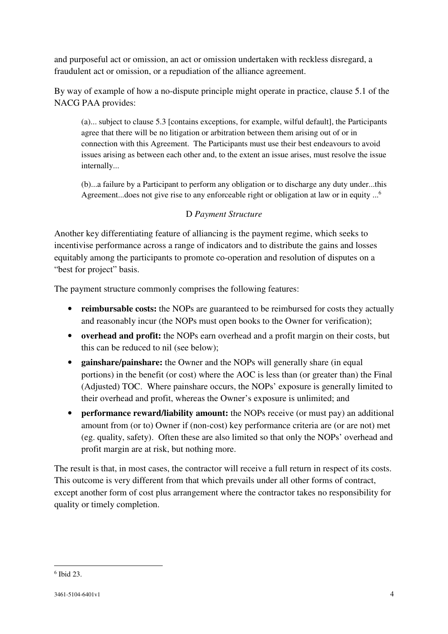and purposeful act or omission, an act or omission undertaken with reckless disregard, a fraudulent act or omission, or a repudiation of the alliance agreement.

By way of example of how a no-dispute principle might operate in practice, clause 5.1 of the NACG PAA provides:

(a)... subject to clause 5.3 [contains exceptions, for example, wilful default], the Participants agree that there will be no litigation or arbitration between them arising out of or in connection with this Agreement. The Participants must use their best endeavours to avoid issues arising as between each other and, to the extent an issue arises, must resolve the issue internally...

(b)...a failure by a Participant to perform any obligation or to discharge any duty under...this Agreement...does not give rise to any enforceable right or obligation at law or in equity ...<sup>6</sup>

# D *Payment Structure*

Another key differentiating feature of alliancing is the payment regime, which seeks to incentivise performance across a range of indicators and to distribute the gains and losses equitably among the participants to promote co-operation and resolution of disputes on a "best for project" basis.

The payment structure commonly comprises the following features:

- **reimbursable costs:** the NOPs are guaranteed to be reimbursed for costs they actually and reasonably incur (the NOPs must open books to the Owner for verification);
- **overhead and profit:** the NOPs earn overhead and a profit margin on their costs, but this can be reduced to nil (see below);
- **gainshare/painshare:** the Owner and the NOPs will generally share (in equal portions) in the benefit (or cost) where the AOC is less than (or greater than) the Final (Adjusted) TOC. Where painshare occurs, the NOPs' exposure is generally limited to their overhead and profit, whereas the Owner's exposure is unlimited; and
- **performance reward/liability amount:** the NOPs receive (or must pay) an additional amount from (or to) Owner if (non-cost) key performance criteria are (or are not) met (eg. quality, safety). Often these are also limited so that only the NOPs' overhead and profit margin are at risk, but nothing more.

The result is that, in most cases, the contractor will receive a full return in respect of its costs. This outcome is very different from that which prevails under all other forms of contract, except another form of cost plus arrangement where the contractor takes no responsibility for quality or timely completion.

<sup>6</sup> Ibid 23.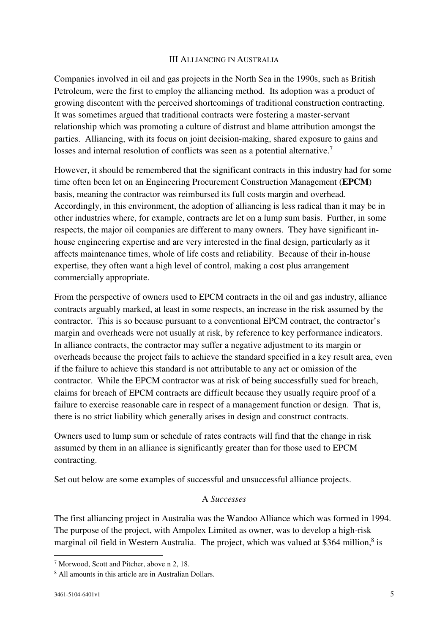#### III ALLIANCING IN AUSTRALIA

Companies involved in oil and gas projects in the North Sea in the 1990s, such as British Petroleum, were the first to employ the alliancing method. Its adoption was a product of growing discontent with the perceived shortcomings of traditional construction contracting. It was sometimes argued that traditional contracts were fostering a master-servant relationship which was promoting a culture of distrust and blame attribution amongst the parties. Alliancing, with its focus on joint decision-making, shared exposure to gains and losses and internal resolution of conflicts was seen as a potential alternative.<sup>7</sup>

However, it should be remembered that the significant contracts in this industry had for some time often been let on an Engineering Procurement Construction Management (**EPCM**) basis, meaning the contractor was reimbursed its full costs margin and overhead. Accordingly, in this environment, the adoption of alliancing is less radical than it may be in other industries where, for example, contracts are let on a lump sum basis. Further, in some respects, the major oil companies are different to many owners. They have significant inhouse engineering expertise and are very interested in the final design, particularly as it affects maintenance times, whole of life costs and reliability. Because of their in-house expertise, they often want a high level of control, making a cost plus arrangement commercially appropriate.

From the perspective of owners used to EPCM contracts in the oil and gas industry, alliance contracts arguably marked, at least in some respects, an increase in the risk assumed by the contractor. This is so because pursuant to a conventional EPCM contract, the contractor's margin and overheads were not usually at risk, by reference to key performance indicators. In alliance contracts, the contractor may suffer a negative adjustment to its margin or overheads because the project fails to achieve the standard specified in a key result area, even if the failure to achieve this standard is not attributable to any act or omission of the contractor. While the EPCM contractor was at risk of being successfully sued for breach, claims for breach of EPCM contracts are difficult because they usually require proof of a failure to exercise reasonable care in respect of a management function or design. That is, there is no strict liability which generally arises in design and construct contracts.

Owners used to lump sum or schedule of rates contracts will find that the change in risk assumed by them in an alliance is significantly greater than for those used to EPCM contracting.

Set out below are some examples of successful and unsuccessful alliance projects.

#### A *Successes*

The first alliancing project in Australia was the Wandoo Alliance which was formed in 1994. The purpose of the project, with Ampolex Limited as owner, was to develop a high-risk marginal oil field in Western Australia. The project, which was valued at \$364 million,<sup>8</sup> is

<sup>7</sup> Morwood, Scott and Pitcher, above n 2, 18.

<sup>8</sup> All amounts in this article are in Australian Dollars.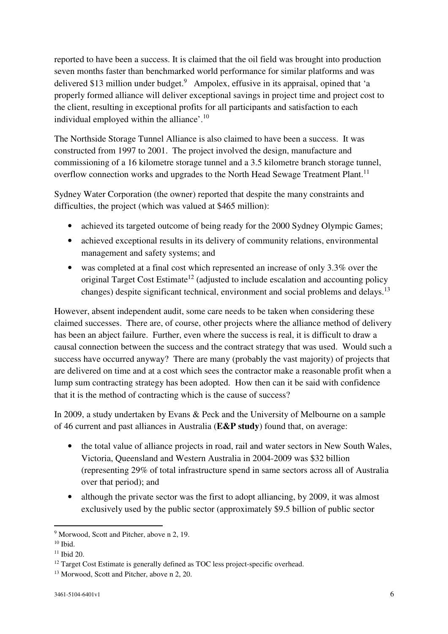reported to have been a success. It is claimed that the oil field was brought into production seven months faster than benchmarked world performance for similar platforms and was delivered \$13 million under budget.<sup>9</sup> Ampolex, effusive in its appraisal, opined that 'a properly formed alliance will deliver exceptional savings in project time and project cost to the client, resulting in exceptional profits for all participants and satisfaction to each individual employed within the alliance'.<sup>10</sup>

The Northside Storage Tunnel Alliance is also claimed to have been a success. It was constructed from 1997 to 2001. The project involved the design, manufacture and commissioning of a 16 kilometre storage tunnel and a 3.5 kilometre branch storage tunnel, overflow connection works and upgrades to the North Head Sewage Treatment Plant.<sup>11</sup>

Sydney Water Corporation (the owner) reported that despite the many constraints and difficulties, the project (which was valued at \$465 million):

- achieved its targeted outcome of being ready for the 2000 Sydney Olympic Games;
- achieved exceptional results in its delivery of community relations, environmental management and safety systems; and
- was completed at a final cost which represented an increase of only 3.3% over the original Target Cost Estimate<sup>12</sup> (adjusted to include escalation and accounting policy changes) despite significant technical, environment and social problems and delays.<sup>13</sup>

However, absent independent audit, some care needs to be taken when considering these claimed successes. There are, of course, other projects where the alliance method of delivery has been an abject failure. Further, even where the success is real, it is difficult to draw a causal connection between the success and the contract strategy that was used. Would such a success have occurred anyway? There are many (probably the vast majority) of projects that are delivered on time and at a cost which sees the contractor make a reasonable profit when a lump sum contracting strategy has been adopted. How then can it be said with confidence that it is the method of contracting which is the cause of success?

In 2009, a study undertaken by Evans & Peck and the University of Melbourne on a sample of 46 current and past alliances in Australia (**E&P study**) found that, on average:

- the total value of alliance projects in road, rail and water sectors in New South Wales, Victoria, Queensland and Western Australia in 2004-2009 was \$32 billion (representing 29% of total infrastructure spend in same sectors across all of Australia over that period); and
- although the private sector was the first to adopt alliancing, by 2009, it was almost exclusively used by the public sector (approximately \$9.5 billion of public sector

<sup>&</sup>lt;sup>9</sup> Morwood, Scott and Pitcher, above n 2, 19.

 $10$  Ibid.

 $11$  Ibid 20.

<sup>&</sup>lt;sup>12</sup> Target Cost Estimate is generally defined as TOC less project-specific overhead.

<sup>&</sup>lt;sup>13</sup> Morwood, Scott and Pitcher, above n 2, 20.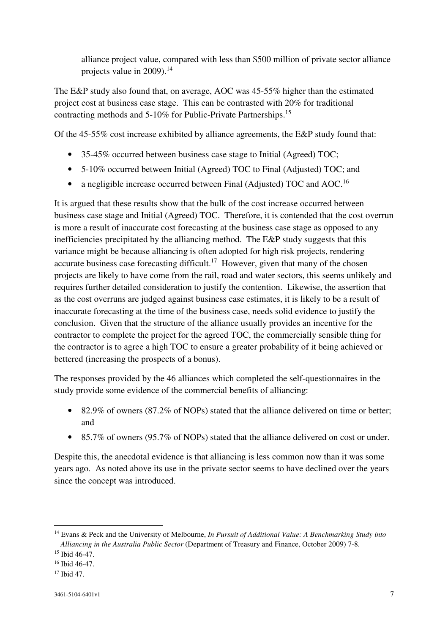alliance project value, compared with less than \$500 million of private sector alliance projects value in 2009).<sup>14</sup>

The E&P study also found that, on average, AOC was 45-55% higher than the estimated project cost at business case stage. This can be contrasted with 20% for traditional contracting methods and 5-10% for Public-Private Partnerships.<sup>15</sup>

Of the 45-55% cost increase exhibited by alliance agreements, the E&P study found that:

- 35-45% occurred between business case stage to Initial (Agreed) TOC;
- 5-10% occurred between Initial (Agreed) TOC to Final (Adjusted) TOC; and
- a negligible increase occurred between Final (Adjusted) TOC and AOC.<sup>16</sup>

It is argued that these results show that the bulk of the cost increase occurred between business case stage and Initial (Agreed) TOC. Therefore, it is contended that the cost overrun is more a result of inaccurate cost forecasting at the business case stage as opposed to any inefficiencies precipitated by the alliancing method. The E&P study suggests that this variance might be because alliancing is often adopted for high risk projects, rendering accurate business case forecasting difficult.<sup>17</sup> However, given that many of the chosen projects are likely to have come from the rail, road and water sectors, this seems unlikely and requires further detailed consideration to justify the contention. Likewise, the assertion that as the cost overruns are judged against business case estimates, it is likely to be a result of inaccurate forecasting at the time of the business case, needs solid evidence to justify the conclusion. Given that the structure of the alliance usually provides an incentive for the contractor to complete the project for the agreed TOC, the commercially sensible thing for the contractor is to agree a high TOC to ensure a greater probability of it being achieved or bettered (increasing the prospects of a bonus).

The responses provided by the 46 alliances which completed the self-questionnaires in the study provide some evidence of the commercial benefits of alliancing:

- 82.9% of owners (87.2% of NOPs) stated that the alliance delivered on time or better; and
- 85.7% of owners (95.7% of NOPs) stated that the alliance delivered on cost or under.

Despite this, the anecdotal evidence is that alliancing is less common now than it was some years ago. As noted above its use in the private sector seems to have declined over the years since the concept was introduced.

<sup>14</sup> Evans & Peck and the University of Melbourne, *In Pursuit of Additional Value: A Benchmarking Study into Alliancing in the Australia Public Sector* (Department of Treasury and Finance, October 2009) 7-8.

<sup>15</sup> Ibid 46-47.

<sup>16</sup> Ibid 46-47.

<sup>17</sup> Ibid 47.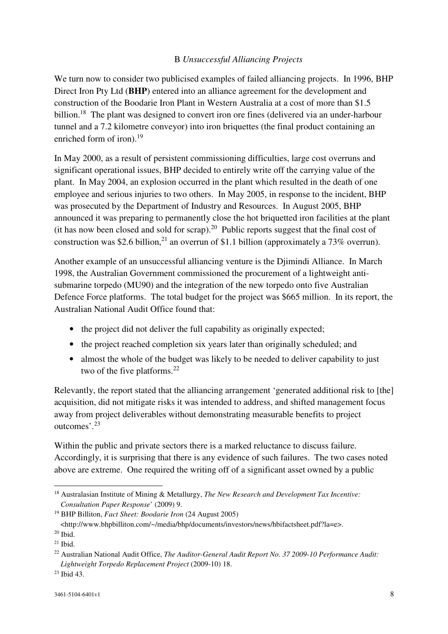# B *Unsuccessful Alliancing Projects*

We turn now to consider two publicised examples of failed alliancing projects. In 1996, BHP Direct Iron Pty Ltd (**BHP**) entered into an alliance agreement for the development and construction of the Boodarie Iron Plant in Western Australia at a cost of more than \$1.5 billion.<sup>18</sup> The plant was designed to convert iron ore fines (delivered via an under-harbour tunnel and a 7.2 kilometre conveyor) into iron briquettes (the final product containing an enriched form of iron).<sup>19</sup>

In May 2000, as a result of persistent commissioning difficulties, large cost overruns and significant operational issues, BHP decided to entirely write off the carrying value of the plant. In May 2004, an explosion occurred in the plant which resulted in the death of one employee and serious injuries to two others. In May 2005, in response to the incident, BHP was prosecuted by the Department of Industry and Resources. In August 2005, BHP announced it was preparing to permanently close the hot briquetted iron facilities at the plant (it has now been closed and sold for scrap).<sup>20</sup> Public reports suggest that the final cost of construction was \$2.6 billion,<sup>21</sup> an overrun of \$1.1 billion (approximately a 73% overrun).

Another example of an unsuccessful alliancing venture is the Djimindi Alliance. In March 1998, the Australian Government commissioned the procurement of a lightweight antisubmarine torpedo (MU90) and the integration of the new torpedo onto five Australian Defence Force platforms. The total budget for the project was \$665 million. In its report, the Australian National Audit Office found that:

- the project did not deliver the full capability as originally expected;
- the project reached completion six years later than originally scheduled; and
- almost the whole of the budget was likely to be needed to deliver capability to just two of the five platforms. $^{22}$

Relevantly, the report stated that the alliancing arrangement 'generated additional risk to [the] acquisition, did not mitigate risks it was intended to address, and shifted management focus away from project deliverables without demonstrating measurable benefits to project outcomes'.<sup>23</sup>

Within the public and private sectors there is a marked reluctance to discuss failure. Accordingly, it is surprising that there is any evidence of such failures. The two cases noted above are extreme. One required the writing off of a significant asset owned by a public

<sup>18</sup> Australasian Institute of Mining & Metallurgy, *The New Research and Development Tax Incentive: Consultation Paper Response*' (2009) 9.

<sup>19</sup> BHP Billiton, *Fact Sheet: Boodarie Iron* (24 August 2005) <http://www.bhpbilliton.com/~/media/bhp/documents/investors/news/hbifactsheet.pdf?la=e>.

<sup>20</sup> Ibid.

 $21$  Ibid.

<sup>22</sup> Australian National Audit Office, *The Auditor-General Audit Report No. 37 2009-10 Performance Audit: Lightweight Torpedo Replacement Project* (2009-10) 18.

<sup>23</sup> Ibid 43.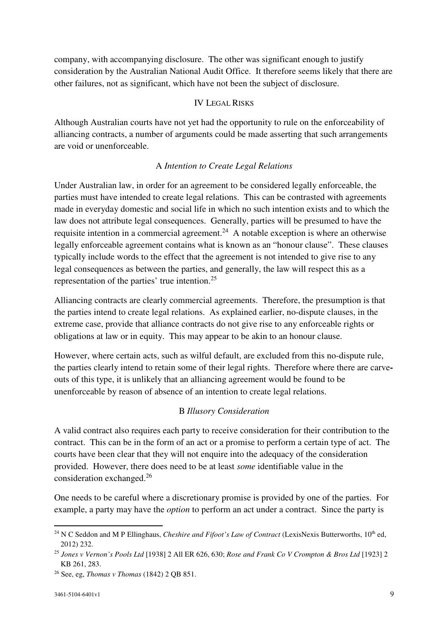company, with accompanying disclosure. The other was significant enough to justify consideration by the Australian National Audit Office. It therefore seems likely that there are other failures, not as significant, which have not been the subject of disclosure.

#### IV LEGAL RISKS

Although Australian courts have not yet had the opportunity to rule on the enforceability of alliancing contracts, a number of arguments could be made asserting that such arrangements are void or unenforceable.

#### A *Intention to Create Legal Relations*

Under Australian law, in order for an agreement to be considered legally enforceable, the parties must have intended to create legal relations. This can be contrasted with agreements made in everyday domestic and social life in which no such intention exists and to which the law does not attribute legal consequences. Generally, parties will be presumed to have the requisite intention in a commercial agreement.<sup>24</sup> A notable exception is where an otherwise legally enforceable agreement contains what is known as an "honour clause". These clauses typically include words to the effect that the agreement is not intended to give rise to any legal consequences as between the parties, and generally, the law will respect this as a representation of the parties' true intention.<sup>25</sup>

Alliancing contracts are clearly commercial agreements. Therefore, the presumption is that the parties intend to create legal relations. As explained earlier, no-dispute clauses, in the extreme case, provide that alliance contracts do not give rise to any enforceable rights or obligations at law or in equity. This may appear to be akin to an honour clause.

However, where certain acts, such as wilful default, are excluded from this no-dispute rule, the parties clearly intend to retain some of their legal rights. Therefore where there are carveouts of this type, it is unlikely that an alliancing agreement would be found to be unenforceable by reason of absence of an intention to create legal relations.

#### B *Illusory Consideration*

A valid contract also requires each party to receive consideration for their contribution to the contract. This can be in the form of an act or a promise to perform a certain type of act. The courts have been clear that they will not enquire into the adequacy of the consideration provided. However, there does need to be at least *some* identifiable value in the consideration exchanged.<sup>26</sup>

One needs to be careful where a discretionary promise is provided by one of the parties. For example, a party may have the *option* to perform an act under a contract. Since the party is

<sup>&</sup>lt;sup>24</sup> N C Seddon and M P Ellinghaus, *Cheshire and Fifoot's Law of Contract* (LexisNexis Butterworths, 10<sup>th</sup> ed, 2012) 232.

<sup>25</sup> *Jones v Vernon's Pools Ltd* [1938] 2 All ER 626, 630; *Rose and Frank Co V Crompton & Bros Ltd* [1923] 2 KB 261, 283.

<sup>26</sup> See, eg, *Thomas v Thomas* (1842) 2 QB 851.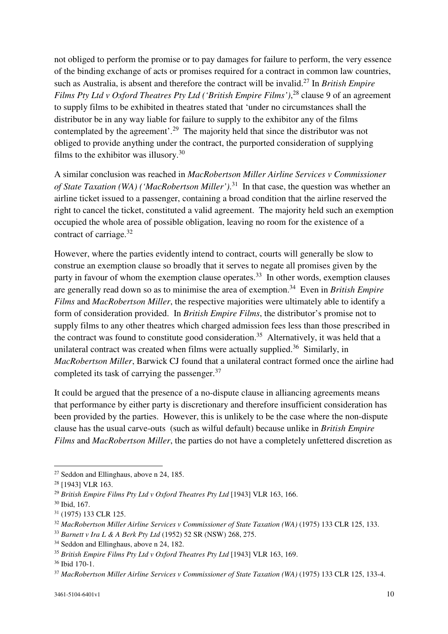not obliged to perform the promise or to pay damages for failure to perform, the very essence of the binding exchange of acts or promises required for a contract in common law countries, such as Australia, is absent and therefore the contract will be invalid.<sup>27</sup> In *British Empire Films Pty Ltd v Oxford Theatres Pty Ltd ('British Empire Films')*, <sup>28</sup> clause 9 of an agreement to supply films to be exhibited in theatres stated that 'under no circumstances shall the distributor be in any way liable for failure to supply to the exhibitor any of the films contemplated by the agreement'.<sup>29</sup> The majority held that since the distributor was not obliged to provide anything under the contract, the purported consideration of supplying films to the exhibitor was illusory.<sup>30</sup>

A similar conclusion was reached in *MacRobertson Miller Airline Services v Commissioner of State Taxation (WA) ('MacRobertson Miller')*. <sup>31</sup> In that case, the question was whether an airline ticket issued to a passenger, containing a broad condition that the airline reserved the right to cancel the ticket, constituted a valid agreement. The majority held such an exemption occupied the whole area of possible obligation, leaving no room for the existence of a contract of carriage.<sup>32</sup>

However, where the parties evidently intend to contract, courts will generally be slow to construe an exemption clause so broadly that it serves to negate all promises given by the party in favour of whom the exemption clause operates.<sup>33</sup> In other words, exemption clauses are generally read down so as to minimise the area of exemption.<sup>34</sup> Even in *British Empire Films* and *MacRobertson Miller*, the respective majorities were ultimately able to identify a form of consideration provided. In *British Empire Films*, the distributor's promise not to supply films to any other theatres which charged admission fees less than those prescribed in the contract was found to constitute good consideration.<sup>35</sup> Alternatively, it was held that a unilateral contract was created when films were actually supplied.<sup>36</sup> Similarly, in *MacRobertson Miller*, Barwick CJ found that a unilateral contract formed once the airline had completed its task of carrying the passenger.<sup>37</sup>

It could be argued that the presence of a no-dispute clause in alliancing agreements means that performance by either party is discretionary and therefore insufficient consideration has been provided by the parties. However, this is unlikely to be the case where the non-dispute clause has the usual carve-outs (such as wilful default) because unlike in *British Empire Films* and *MacRobertson Miller*, the parties do not have a completely unfettered discretion as

<sup>&</sup>lt;sup>27</sup> Seddon and Ellinghaus, above n 24, 185.

<sup>&</sup>lt;sup>28</sup> [1943] VLR 163.

<sup>29</sup> *British Empire Films Pty Ltd v Oxford Theatres Pty Ltd* [1943] VLR 163, 166.

<sup>30</sup> Ibid, 167.

<sup>31</sup> (1975) 133 CLR 125.

<sup>32</sup> *MacRobertson Miller Airline Services v Commissioner of State Taxation (WA)* (1975) 133 CLR 125, 133.

<sup>33</sup> *Barnett v Ira L & A Berk Pty Ltd* (1952) 52 SR (NSW) 268, 275.

<sup>&</sup>lt;sup>34</sup> Seddon and Ellinghaus, above n 24, 182.

<sup>35</sup> *British Empire Films Pty Ltd v Oxford Theatres Pty Ltd* [1943] VLR 163, 169.

<sup>36</sup> Ibid 170-1.

<sup>37</sup> *MacRobertson Miller Airline Services v Commissioner of State Taxation (WA)* (1975) 133 CLR 125, 133-4.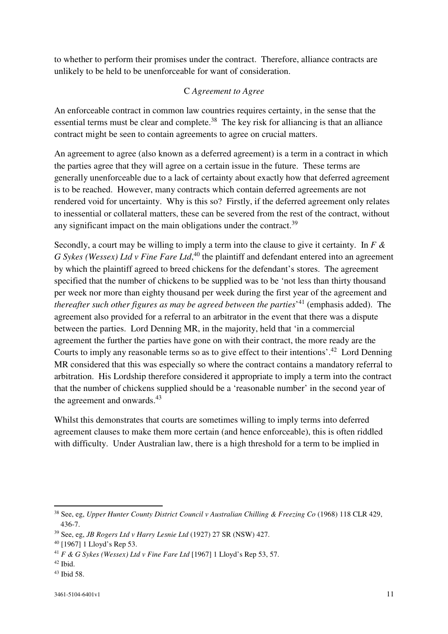to whether to perform their promises under the contract. Therefore, alliance contracts are unlikely to be held to be unenforceable for want of consideration.

#### C *Agreement to Agree*

An enforceable contract in common law countries requires certainty, in the sense that the essential terms must be clear and complete.<sup>38</sup> The key risk for alliancing is that an alliance contract might be seen to contain agreements to agree on crucial matters.

An agreement to agree (also known as a deferred agreement) is a term in a contract in which the parties agree that they will agree on a certain issue in the future. These terms are generally unenforceable due to a lack of certainty about exactly how that deferred agreement is to be reached. However, many contracts which contain deferred agreements are not rendered void for uncertainty. Why is this so? Firstly, if the deferred agreement only relates to inessential or collateral matters, these can be severed from the rest of the contract, without any significant impact on the main obligations under the contract.<sup>39</sup>

Secondly, a court may be willing to imply a term into the clause to give it certainty. In *F & G Sykes (Wessex) Ltd v Fine Fare Ltd*,<sup>40</sup> the plaintiff and defendant entered into an agreement by which the plaintiff agreed to breed chickens for the defendant's stores. The agreement specified that the number of chickens to be supplied was to be 'not less than thirty thousand per week nor more than eighty thousand per week during the first year of the agreement and *thereafter such other figures as may be agreed between the parties*' <sup>41</sup> (emphasis added). The agreement also provided for a referral to an arbitrator in the event that there was a dispute between the parties. Lord Denning MR, in the majority, held that 'in a commercial agreement the further the parties have gone on with their contract, the more ready are the Courts to imply any reasonable terms so as to give effect to their intentions'.<sup>42</sup> Lord Denning MR considered that this was especially so where the contract contains a mandatory referral to arbitration. His Lordship therefore considered it appropriate to imply a term into the contract that the number of chickens supplied should be a 'reasonable number' in the second year of the agreement and onwards. $43$ 

Whilst this demonstrates that courts are sometimes willing to imply terms into deferred agreement clauses to make them more certain (and hence enforceable), this is often riddled with difficulty. Under Australian law, there is a high threshold for a term to be implied in

<sup>38</sup> See, eg, *Upper Hunter County District Council v Australian Chilling & Freezing Co* (1968) 118 CLR 429, 436-7.

<sup>39</sup> See, eg, *JB Rogers Ltd v Harry Lesnie Ltd* (1927) 27 SR (NSW) 427.

<sup>40</sup> [1967] 1 Lloyd's Rep 53.

<sup>41</sup> *F & G Sykes (Wessex) Ltd v Fine Fare Ltd* [1967] 1 Lloyd's Rep 53, 57.

<sup>42</sup> Ibid.

<sup>43</sup> Ibid 58.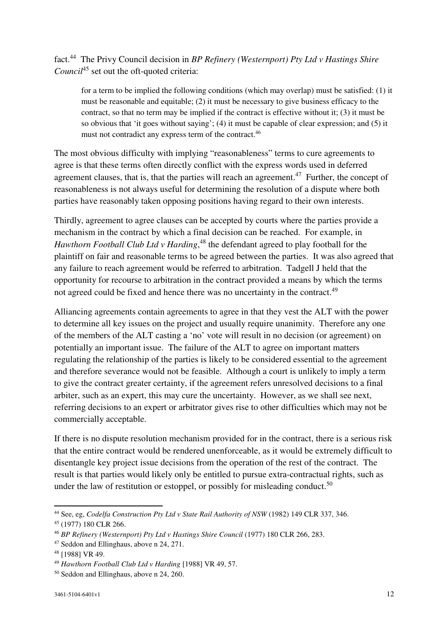# fact.<sup>44</sup> The Privy Council decision in *BP Refinery (Westernport) Pty Ltd v Hastings Shire Council*<sup>45</sup> set out the oft-quoted criteria:

for a term to be implied the following conditions (which may overlap) must be satisfied: (1) it must be reasonable and equitable; (2) it must be necessary to give business efficacy to the contract, so that no term may be implied if the contract is effective without it; (3) it must be so obvious that 'it goes without saying'; (4) it must be capable of clear expression; and (5) it must not contradict any express term of the contract.<sup>46</sup>

The most obvious difficulty with implying "reasonableness" terms to cure agreements to agree is that these terms often directly conflict with the express words used in deferred agreement clauses, that is, that the parties will reach an agreement.<sup>47</sup> Further, the concept of reasonableness is not always useful for determining the resolution of a dispute where both parties have reasonably taken opposing positions having regard to their own interests.

Thirdly, agreement to agree clauses can be accepted by courts where the parties provide a mechanism in the contract by which a final decision can be reached. For example, in *Hawthorn Football Club Ltd v Harding*, <sup>48</sup> the defendant agreed to play football for the plaintiff on fair and reasonable terms to be agreed between the parties. It was also agreed that any failure to reach agreement would be referred to arbitration. Tadgell J held that the opportunity for recourse to arbitration in the contract provided a means by which the terms not agreed could be fixed and hence there was no uncertainty in the contract.<sup>49</sup>

Alliancing agreements contain agreements to agree in that they vest the ALT with the power to determine all key issues on the project and usually require unanimity. Therefore any one of the members of the ALT casting a 'no' vote will result in no decision (or agreement) on potentially an important issue. The failure of the ALT to agree on important matters regulating the relationship of the parties is likely to be considered essential to the agreement and therefore severance would not be feasible. Although a court is unlikely to imply a term to give the contract greater certainty, if the agreement refers unresolved decisions to a final arbiter, such as an expert, this may cure the uncertainty. However, as we shall see next, referring decisions to an expert or arbitrator gives rise to other difficulties which may not be commercially acceptable.

If there is no dispute resolution mechanism provided for in the contract, there is a serious risk that the entire contract would be rendered unenforceable, as it would be extremely difficult to disentangle key project issue decisions from the operation of the rest of the contract. The result is that parties would likely only be entitled to pursue extra-contractual rights, such as under the law of restitution or estoppel, or possibly for misleading conduct.<sup>50</sup>

<sup>44</sup> See, eg, *Codelfa Construction Pty Ltd v State Rail Authority of NSW* (1982) 149 CLR 337, 346.

<sup>45</sup> (1977) 180 CLR 266.

<sup>46</sup> *BP Refinery (Westernport) Pty Ltd v Hastings Shire Council* (1977) 180 CLR 266, 283.

<sup>47</sup> Seddon and Ellinghaus, above n 24, 271.

<sup>48</sup> [1988] VR 49.

<sup>49</sup> *Hawthorn Football Club Ltd v Harding* [1988] VR 49, 57.

<sup>50</sup> Seddon and Ellinghaus, above n 24, 260.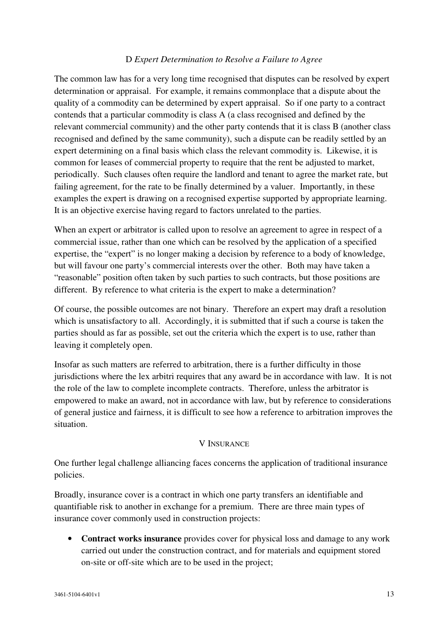# D *Expert Determination to Resolve a Failure to Agree*

The common law has for a very long time recognised that disputes can be resolved by expert determination or appraisal. For example, it remains commonplace that a dispute about the quality of a commodity can be determined by expert appraisal. So if one party to a contract contends that a particular commodity is class A (a class recognised and defined by the relevant commercial community) and the other party contends that it is class B (another class recognised and defined by the same community), such a dispute can be readily settled by an expert determining on a final basis which class the relevant commodity is. Likewise, it is common for leases of commercial property to require that the rent be adjusted to market, periodically. Such clauses often require the landlord and tenant to agree the market rate, but failing agreement, for the rate to be finally determined by a valuer. Importantly, in these examples the expert is drawing on a recognised expertise supported by appropriate learning. It is an objective exercise having regard to factors unrelated to the parties.

When an expert or arbitrator is called upon to resolve an agreement to agree in respect of a commercial issue, rather than one which can be resolved by the application of a specified expertise, the "expert" is no longer making a decision by reference to a body of knowledge, but will favour one party's commercial interests over the other. Both may have taken a "reasonable" position often taken by such parties to such contracts, but those positions are different. By reference to what criteria is the expert to make a determination?

Of course, the possible outcomes are not binary. Therefore an expert may draft a resolution which is unsatisfactory to all. Accordingly, it is submitted that if such a course is taken the parties should as far as possible, set out the criteria which the expert is to use, rather than leaving it completely open.

Insofar as such matters are referred to arbitration, there is a further difficulty in those jurisdictions where the lex arbitri requires that any award be in accordance with law. It is not the role of the law to complete incomplete contracts. Therefore, unless the arbitrator is empowered to make an award, not in accordance with law, but by reference to considerations of general justice and fairness, it is difficult to see how a reference to arbitration improves the situation.

#### V INSURANCE

One further legal challenge alliancing faces concerns the application of traditional insurance policies.

Broadly, insurance cover is a contract in which one party transfers an identifiable and quantifiable risk to another in exchange for a premium. There are three main types of insurance cover commonly used in construction projects:

• **Contract works insurance** provides cover for physical loss and damage to any work carried out under the construction contract, and for materials and equipment stored on-site or off-site which are to be used in the project;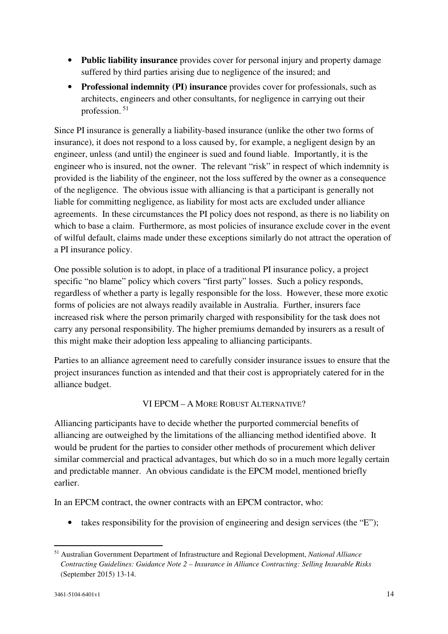- **Public liability insurance** provides cover for personal injury and property damage suffered by third parties arising due to negligence of the insured; and
- **Professional indemnity (PI) insurance** provides cover for professionals, such as architects, engineers and other consultants, for negligence in carrying out their profession.  $51$

Since PI insurance is generally a liability-based insurance (unlike the other two forms of insurance), it does not respond to a loss caused by, for example, a negligent design by an engineer, unless (and until) the engineer is sued and found liable. Importantly, it is the engineer who is insured, not the owner. The relevant "risk" in respect of which indemnity is provided is the liability of the engineer, not the loss suffered by the owner as a consequence of the negligence. The obvious issue with alliancing is that a participant is generally not liable for committing negligence, as liability for most acts are excluded under alliance agreements. In these circumstances the PI policy does not respond, as there is no liability on which to base a claim. Furthermore, as most policies of insurance exclude cover in the event of wilful default, claims made under these exceptions similarly do not attract the operation of a PI insurance policy.

One possible solution is to adopt, in place of a traditional PI insurance policy, a project specific "no blame" policy which covers "first party" losses. Such a policy responds, regardless of whether a party is legally responsible for the loss. However, these more exotic forms of policies are not always readily available in Australia. Further, insurers face increased risk where the person primarily charged with responsibility for the task does not carry any personal responsibility. The higher premiums demanded by insurers as a result of this might make their adoption less appealing to alliancing participants.

Parties to an alliance agreement need to carefully consider insurance issues to ensure that the project insurances function as intended and that their cost is appropriately catered for in the alliance budget.

# VI EPCM – A MORE ROBUST ALTERNATIVE?

Alliancing participants have to decide whether the purported commercial benefits of alliancing are outweighed by the limitations of the alliancing method identified above. It would be prudent for the parties to consider other methods of procurement which deliver similar commercial and practical advantages, but which do so in a much more legally certain and predictable manner. An obvious candidate is the EPCM model, mentioned briefly earlier.

In an EPCM contract, the owner contracts with an EPCM contractor, who:

• takes responsibility for the provision of engineering and design services (the "E");

<sup>51</sup> Australian Government Department of Infrastructure and Regional Development, *National Alliance Contracting Guidelines: Guidance Note 2 – Insurance in Alliance Contracting: Selling Insurable Risks* (September 2015) 13-14.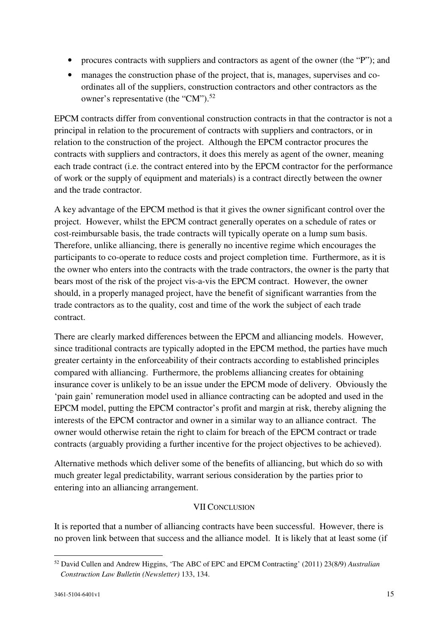- procures contracts with suppliers and contractors as agent of the owner (the "P"); and
- manages the construction phase of the project, that is, manages, supervises and coordinates all of the suppliers, construction contractors and other contractors as the owner's representative (the "CM").<sup>52</sup>

EPCM contracts differ from conventional construction contracts in that the contractor is not a principal in relation to the procurement of contracts with suppliers and contractors, or in relation to the construction of the project. Although the EPCM contractor procures the contracts with suppliers and contractors, it does this merely as agent of the owner, meaning each trade contract (i.e. the contract entered into by the EPCM contractor for the performance of work or the supply of equipment and materials) is a contract directly between the owner and the trade contractor.

A key advantage of the EPCM method is that it gives the owner significant control over the project. However, whilst the EPCM contract generally operates on a schedule of rates or cost-reimbursable basis, the trade contracts will typically operate on a lump sum basis. Therefore, unlike alliancing, there is generally no incentive regime which encourages the participants to co-operate to reduce costs and project completion time. Furthermore, as it is the owner who enters into the contracts with the trade contractors, the owner is the party that bears most of the risk of the project vis-a-vis the EPCM contract. However, the owner should, in a properly managed project, have the benefit of significant warranties from the trade contractors as to the quality, cost and time of the work the subject of each trade contract.

There are clearly marked differences between the EPCM and alliancing models. However, since traditional contracts are typically adopted in the EPCM method, the parties have much greater certainty in the enforceability of their contracts according to established principles compared with alliancing. Furthermore, the problems alliancing creates for obtaining insurance cover is unlikely to be an issue under the EPCM mode of delivery. Obviously the 'pain gain' remuneration model used in alliance contracting can be adopted and used in the EPCM model, putting the EPCM contractor's profit and margin at risk, thereby aligning the interests of the EPCM contractor and owner in a similar way to an alliance contract. The owner would otherwise retain the right to claim for breach of the EPCM contract or trade contracts (arguably providing a further incentive for the project objectives to be achieved).

Alternative methods which deliver some of the benefits of alliancing, but which do so with much greater legal predictability, warrant serious consideration by the parties prior to entering into an alliancing arrangement.

# VII CONCLUSION

It is reported that a number of alliancing contracts have been successful. However, there is no proven link between that success and the alliance model. It is likely that at least some (if

<sup>52</sup> David Cullen and Andrew Higgins, 'The ABC of EPC and EPCM Contracting' (2011) 23(8/9) *Australian Construction Law Bulletin (Newsletter)* 133, 134.